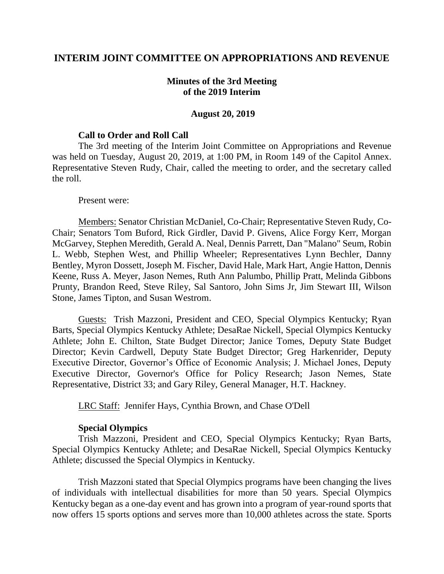## **INTERIM JOINT COMMITTEE ON APPROPRIATIONS AND REVENUE**

### **Minutes of the 3rd Meeting of the 2019 Interim**

#### **August 20, 2019**

#### **Call to Order and Roll Call**

The 3rd meeting of the Interim Joint Committee on Appropriations and Revenue was held on Tuesday, August 20, 2019, at 1:00 PM, in Room 149 of the Capitol Annex. Representative Steven Rudy, Chair, called the meeting to order, and the secretary called the roll.

#### Present were:

Members: Senator Christian McDaniel, Co-Chair; Representative Steven Rudy, Co-Chair; Senators Tom Buford, Rick Girdler, David P. Givens, Alice Forgy Kerr, Morgan McGarvey, Stephen Meredith, Gerald A. Neal, Dennis Parrett, Dan "Malano" Seum, Robin L. Webb, Stephen West, and Phillip Wheeler; Representatives Lynn Bechler, Danny Bentley, Myron Dossett, Joseph M. Fischer, David Hale, Mark Hart, Angie Hatton, Dennis Keene, Russ A. Meyer, Jason Nemes, Ruth Ann Palumbo, Phillip Pratt, Melinda Gibbons Prunty, Brandon Reed, Steve Riley, Sal Santoro, John Sims Jr, Jim Stewart III, Wilson Stone, James Tipton, and Susan Westrom.

Guests: Trish Mazzoni, President and CEO, Special Olympics Kentucky; Ryan Barts, Special Olympics Kentucky Athlete; DesaRae Nickell, Special Olympics Kentucky Athlete; John E. Chilton, State Budget Director; Janice Tomes, Deputy State Budget Director; Kevin Cardwell, Deputy State Budget Director; Greg Harkenrider, Deputy Executive Director, Governor's Office of Economic Analysis; J. Michael Jones, Deputy Executive Director, Governor's Office for Policy Research; Jason Nemes, State Representative, District 33; and Gary Riley, General Manager, H.T. Hackney.

LRC Staff: Jennifer Hays, Cynthia Brown, and Chase O'Dell

### **Special Olympics**

Trish Mazzoni, President and CEO, Special Olympics Kentucky; Ryan Barts, Special Olympics Kentucky Athlete; and DesaRae Nickell, Special Olympics Kentucky Athlete; discussed the Special Olympics in Kentucky.

Trish Mazzoni stated that Special Olympics programs have been changing the lives of individuals with intellectual disabilities for more than 50 years. Special Olympics Kentucky began as a one-day event and has grown into a program of year-round sports that now offers 15 sports options and serves more than 10,000 athletes across the state. Sports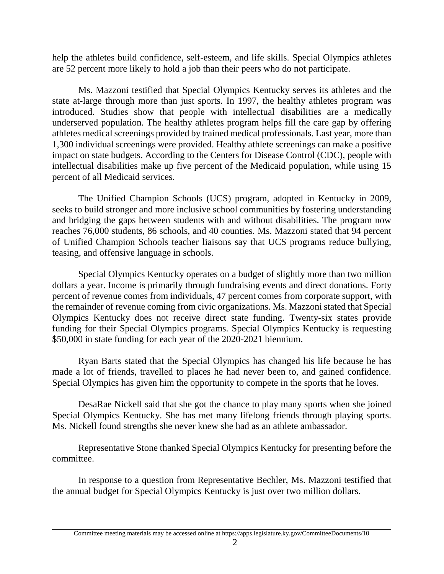help the athletes build confidence, self-esteem, and life skills. Special Olympics athletes are 52 percent more likely to hold a job than their peers who do not participate.

Ms. Mazzoni testified that Special Olympics Kentucky serves its athletes and the state at-large through more than just sports. In 1997, the healthy athletes program was introduced. Studies show that people with intellectual disabilities are a medically underserved population. The healthy athletes program helps fill the care gap by offering athletes medical screenings provided by trained medical professionals. Last year, more than 1,300 individual screenings were provided. Healthy athlete screenings can make a positive impact on state budgets. According to the Centers for Disease Control (CDC), people with intellectual disabilities make up five percent of the Medicaid population, while using 15 percent of all Medicaid services.

The Unified Champion Schools (UCS) program, adopted in Kentucky in 2009, seeks to build stronger and more inclusive school communities by fostering understanding and bridging the gaps between students with and without disabilities. The program now reaches 76,000 students, 86 schools, and 40 counties. Ms. Mazzoni stated that 94 percent of Unified Champion Schools teacher liaisons say that UCS programs reduce bullying, teasing, and offensive language in schools.

Special Olympics Kentucky operates on a budget of slightly more than two million dollars a year. Income is primarily through fundraising events and direct donations. Forty percent of revenue comes from individuals, 47 percent comes from corporate support, with the remainder of revenue coming from civic organizations. Ms. Mazzoni stated that Special Olympics Kentucky does not receive direct state funding. Twenty-six states provide funding for their Special Olympics programs. Special Olympics Kentucky is requesting \$50,000 in state funding for each year of the 2020-2021 biennium.

Ryan Barts stated that the Special Olympics has changed his life because he has made a lot of friends, travelled to places he had never been to, and gained confidence. Special Olympics has given him the opportunity to compete in the sports that he loves.

DesaRae Nickell said that she got the chance to play many sports when she joined Special Olympics Kentucky. She has met many lifelong friends through playing sports. Ms. Nickell found strengths she never knew she had as an athlete ambassador.

Representative Stone thanked Special Olympics Kentucky for presenting before the committee.

In response to a question from Representative Bechler, Ms. Mazzoni testified that the annual budget for Special Olympics Kentucky is just over two million dollars.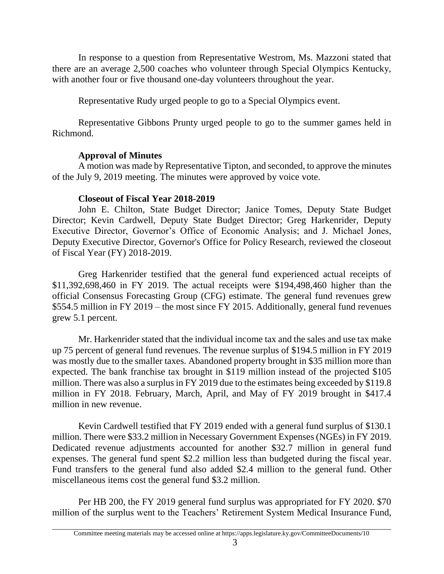In response to a question from Representative Westrom, Ms. Mazzoni stated that there are an average 2,500 coaches who volunteer through Special Olympics Kentucky, with another four or five thousand one-day volunteers throughout the year.

Representative Rudy urged people to go to a Special Olympics event.

Representative Gibbons Prunty urged people to go to the summer games held in Richmond.

# **Approval of Minutes**

A motion was made by Representative Tipton, and seconded, to approve the minutes of the July 9, 2019 meeting. The minutes were approved by voice vote.

# **Closeout of Fiscal Year 2018-2019**

John E. Chilton, State Budget Director; Janice Tomes, Deputy State Budget Director; Kevin Cardwell, Deputy State Budget Director; Greg Harkenrider, Deputy Executive Director, Governor's Office of Economic Analysis; and J. Michael Jones, Deputy Executive Director, Governor's Office for Policy Research, reviewed the closeout of Fiscal Year (FY) 2018-2019.

Greg Harkenrider testified that the general fund experienced actual receipts of \$11,392,698,460 in FY 2019. The actual receipts were \$194,498,460 higher than the official Consensus Forecasting Group (CFG) estimate. The general fund revenues grew \$554.5 million in FY 2019 – the most since FY 2015. Additionally, general fund revenues grew 5.1 percent.

Mr. Harkenrider stated that the individual income tax and the sales and use tax make up 75 percent of general fund revenues. The revenue surplus of \$194.5 million in FY 2019 was mostly due to the smaller taxes. Abandoned property brought in \$35 million more than expected. The bank franchise tax brought in \$119 million instead of the projected \$105 million. There was also a surplus in FY 2019 due to the estimates being exceeded by \$119.8 million in FY 2018. February, March, April, and May of FY 2019 brought in \$417.4 million in new revenue.

Kevin Cardwell testified that FY 2019 ended with a general fund surplus of \$130.1 million. There were \$33.2 million in Necessary Government Expenses (NGEs) in FY 2019. Dedicated revenue adjustments accounted for another \$32.7 million in general fund expenses. The general fund spent \$2.2 million less than budgeted during the fiscal year. Fund transfers to the general fund also added \$2.4 million to the general fund. Other miscellaneous items cost the general fund \$3.2 million.

Per HB 200, the FY 2019 general fund surplus was appropriated for FY 2020. \$70 million of the surplus went to the Teachers' Retirement System Medical Insurance Fund,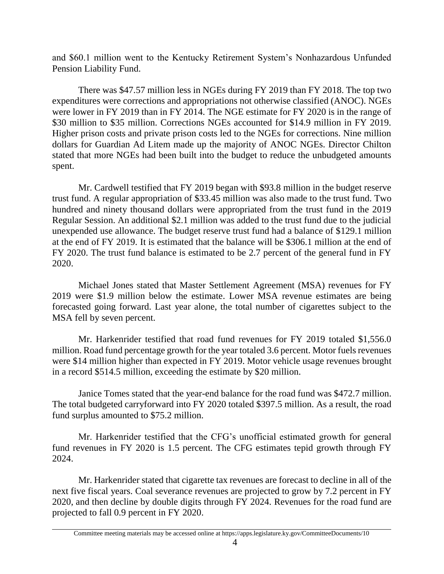and \$60.1 million went to the Kentucky Retirement System's Nonhazardous Unfunded Pension Liability Fund.

There was \$47.57 million less in NGEs during FY 2019 than FY 2018. The top two expenditures were corrections and appropriations not otherwise classified (ANOC). NGEs were lower in FY 2019 than in FY 2014. The NGE estimate for FY 2020 is in the range of \$30 million to \$35 million. Corrections NGEs accounted for \$14.9 million in FY 2019. Higher prison costs and private prison costs led to the NGEs for corrections. Nine million dollars for Guardian Ad Litem made up the majority of ANOC NGEs. Director Chilton stated that more NGEs had been built into the budget to reduce the unbudgeted amounts spent.

Mr. Cardwell testified that FY 2019 began with \$93.8 million in the budget reserve trust fund. A regular appropriation of \$33.45 million was also made to the trust fund. Two hundred and ninety thousand dollars were appropriated from the trust fund in the 2019 Regular Session. An additional \$2.1 million was added to the trust fund due to the judicial unexpended use allowance. The budget reserve trust fund had a balance of \$129.1 million at the end of FY 2019. It is estimated that the balance will be \$306.1 million at the end of FY 2020. The trust fund balance is estimated to be 2.7 percent of the general fund in FY 2020.

Michael Jones stated that Master Settlement Agreement (MSA) revenues for FY 2019 were \$1.9 million below the estimate. Lower MSA revenue estimates are being forecasted going forward. Last year alone, the total number of cigarettes subject to the MSA fell by seven percent.

Mr. Harkenrider testified that road fund revenues for FY 2019 totaled \$1,556.0 million. Road fund percentage growth for the year totaled 3.6 percent. Motor fuels revenues were \$14 million higher than expected in FY 2019. Motor vehicle usage revenues brought in a record \$514.5 million, exceeding the estimate by \$20 million.

Janice Tomes stated that the year-end balance for the road fund was \$472.7 million. The total budgeted carryforward into FY 2020 totaled \$397.5 million. As a result, the road fund surplus amounted to \$75.2 million.

Mr. Harkenrider testified that the CFG's unofficial estimated growth for general fund revenues in FY 2020 is 1.5 percent. The CFG estimates tepid growth through FY 2024.

Mr. Harkenrider stated that cigarette tax revenues are forecast to decline in all of the next five fiscal years. Coal severance revenues are projected to grow by 7.2 percent in FY 2020, and then decline by double digits through FY 2024. Revenues for the road fund are projected to fall 0.9 percent in FY 2020.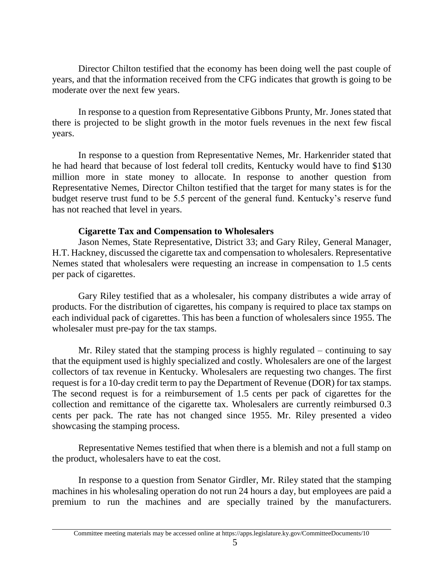Director Chilton testified that the economy has been doing well the past couple of years, and that the information received from the CFG indicates that growth is going to be moderate over the next few years.

In response to a question from Representative Gibbons Prunty, Mr. Jones stated that there is projected to be slight growth in the motor fuels revenues in the next few fiscal years.

In response to a question from Representative Nemes, Mr. Harkenrider stated that he had heard that because of lost federal toll credits, Kentucky would have to find \$130 million more in state money to allocate. In response to another question from Representative Nemes, Director Chilton testified that the target for many states is for the budget reserve trust fund to be 5.5 percent of the general fund. Kentucky's reserve fund has not reached that level in years.

## **Cigarette Tax and Compensation to Wholesalers**

Jason Nemes, State Representative, District 33; and Gary Riley, General Manager, H.T. Hackney, discussed the cigarette tax and compensation to wholesalers. Representative Nemes stated that wholesalers were requesting an increase in compensation to 1.5 cents per pack of cigarettes.

Gary Riley testified that as a wholesaler, his company distributes a wide array of products. For the distribution of cigarettes, his company is required to place tax stamps on each individual pack of cigarettes. This has been a function of wholesalers since 1955. The wholesaler must pre-pay for the tax stamps.

Mr. Riley stated that the stamping process is highly regulated – continuing to say that the equipment used is highly specialized and costly. Wholesalers are one of the largest collectors of tax revenue in Kentucky. Wholesalers are requesting two changes. The first request is for a 10-day credit term to pay the Department of Revenue (DOR) for tax stamps. The second request is for a reimbursement of 1.5 cents per pack of cigarettes for the collection and remittance of the cigarette tax. Wholesalers are currently reimbursed 0.3 cents per pack. The rate has not changed since 1955. Mr. Riley presented a video showcasing the stamping process.

Representative Nemes testified that when there is a blemish and not a full stamp on the product, wholesalers have to eat the cost.

In response to a question from Senator Girdler, Mr. Riley stated that the stamping machines in his wholesaling operation do not run 24 hours a day, but employees are paid a premium to run the machines and are specially trained by the manufacturers.